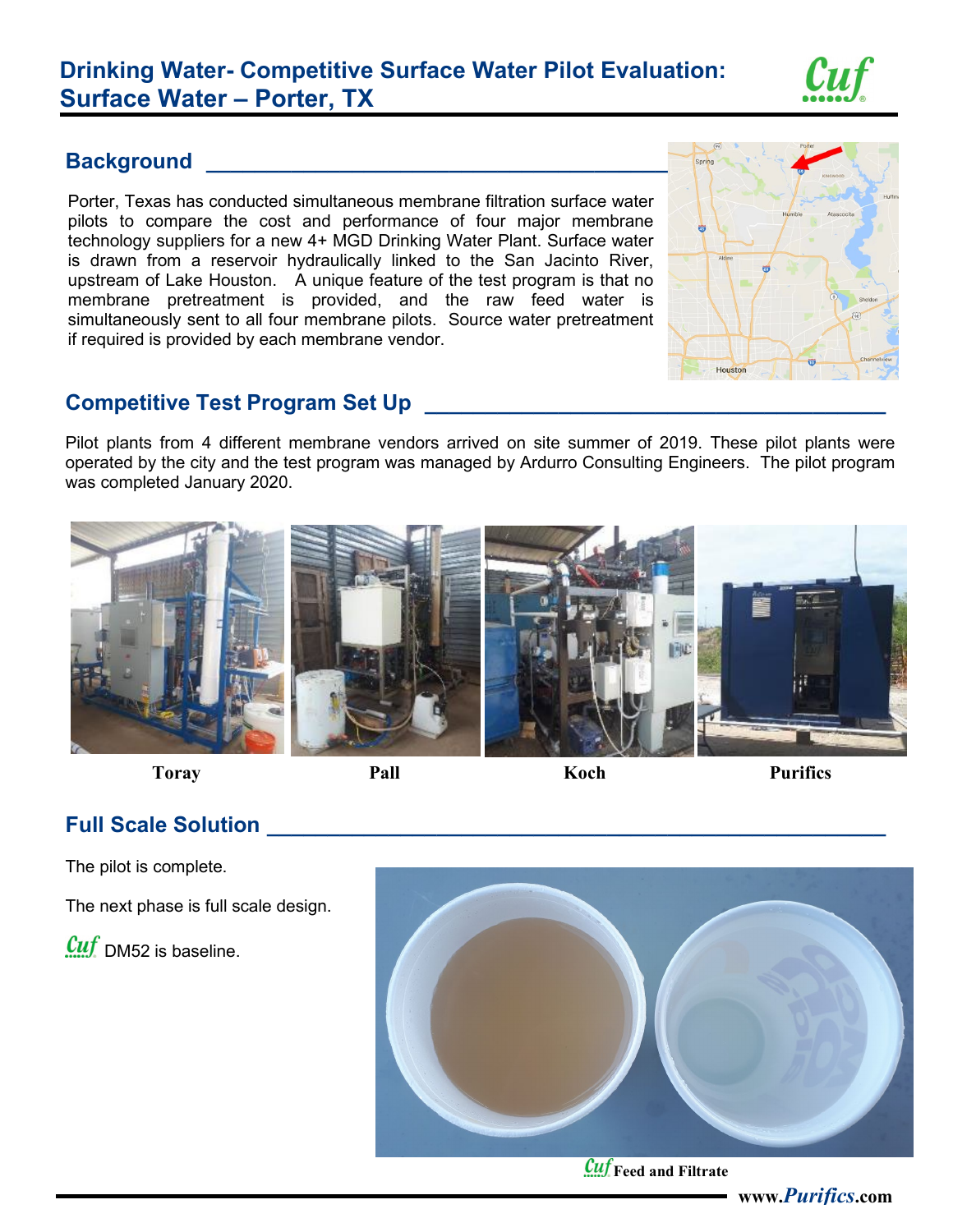# **Drinking Water- Competitive Surface Water Pilot Evaluation: Surface Water – Porter, TX**



#### **Background Example 20**

Porter, Texas has conducted simultaneous membrane filtration surface water pilots to compare the cost and performance of four major membrane technology suppliers for a new 4+ MGD Drinking Water Plant. Surface water is drawn from a reservoir hydraulically linked to the San Jacinto River, upstream of Lake Houston. A unique feature of the test program is that no membrane pretreatment is provided, and the raw feed water is simultaneously sent to all four membrane pilots. Source water pretreatment if required is provided by each membrane vendor.



## **Competitive Test Program Set Up \_\_\_\_\_\_\_\_\_\_\_\_\_\_\_\_\_\_\_\_\_\_\_\_\_\_\_\_\_\_\_\_\_\_\_\_\_\_**

Pilot plants from 4 different membrane vendors arrived on site summer of 2019. These pilot plants were operated by the city and the test program was managed by Ardurro Consulting Engineers. The pilot program was completed January 2020.



**Toray Pall Pall Koch Purifics** 

## **Full Scale Solution \_\_\_\_\_\_\_\_\_\_\_\_\_\_\_\_\_\_\_\_\_\_\_\_\_\_\_\_\_\_\_\_\_\_\_\_\_\_\_\_\_\_\_\_\_\_\_\_\_\_\_**

The pilot is complete.

The next phase is full scale design.

 $\mathcal{C}uf$  DM52 is baseline.



*Cuf* Feed and Filtrate